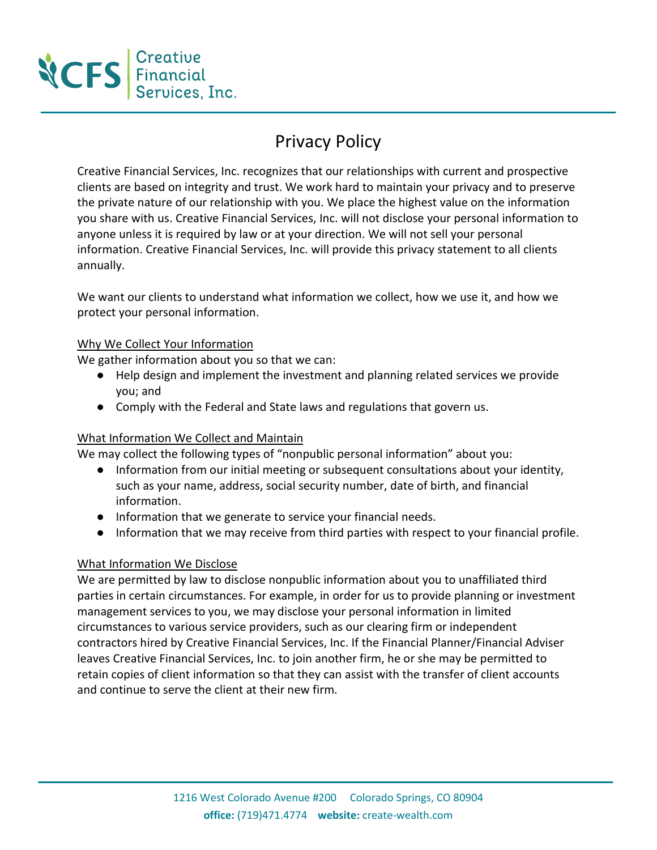

# Privacy Policy

Creative Financial Services, Inc. recognizes that our relationships with current and prospective clients are based on integrity and trust. We work hard to maintain your privacy and to preserve the private nature of our relationship with you. We place the highest value on the information you share with us. Creative Financial Services, Inc. will not disclose your personal information to anyone unless it is required by law or at your direction. We will not sell your personal information. Creative Financial Services, Inc. will provide this privacy statement to all clients annually.

We want our clients to understand what information we collect, how we use it, and how we protect your personal information.

## Why We Collect Your Information

We gather information about you so that we can:

- Help design and implement the investment and planning related services we provide you; and
- Comply with the Federal and State laws and regulations that govern us.

## What Information We Collect and Maintain

We may collect the following types of "nonpublic personal information" about you:

- Information from our initial meeting or subsequent consultations about your identity, such as your name, address, social security number, date of birth, and financial information.
- Information that we generate to service your financial needs.
- Information that we may receive from third parties with respect to your financial profile.

### What Information We Disclose

We are permitted by law to disclose nonpublic information about you to unaffiliated third parties in certain circumstances. For example, in order for us to provide planning or investment management services to you, we may disclose your personal information in limited circumstances to various service providers, such as our clearing firm or independent contractors hired by Creative Financial Services, Inc. If the Financial Planner/Financial Adviser leaves Creative Financial Services, Inc. to join another firm, he or she may be permitted to retain copies of client information so that they can assist with the transfer of client accounts and continue to serve the client at their new firm.